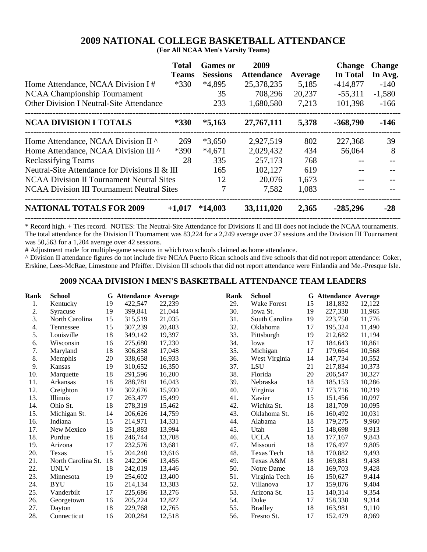# **2009 NATIONAL COLLEGE BASKETBALL ATTENDANCE**

**(For All NCAA Men's Varsity Teams)**

| Home Attendance, NCAA Division I#<br><b>NCAA Championship Tournament</b><br><b>Other Division I Neutral-Site Attendance</b> | <b>Total</b><br><b>Teams</b><br>$*330$ | <b>Games or</b><br><b>Sessions</b><br>$*4,895$<br>35<br>233 | 2009<br><b>Attendance</b><br>25,378,235<br>708,296<br>1,680,580 | Average<br>5,185<br>20,237<br>7,213 | <b>Change</b><br>In Total<br>$-414,877$<br>$-55,311$<br>101,398 | <b>Change</b><br>In Avg.<br>$-140$<br>$-1,580$<br>$-166$ |
|-----------------------------------------------------------------------------------------------------------------------------|----------------------------------------|-------------------------------------------------------------|-----------------------------------------------------------------|-------------------------------------|-----------------------------------------------------------------|----------------------------------------------------------|
| <b>NCAA DIVISION I TOTALS</b>                                                                                               | $*330$                                 | $*5,163$                                                    | 27, 767, 111                                                    | 5,378                               | $-368,790$                                                      | $-146$                                                   |
| Home Attendance, NCAA Division II ^                                                                                         | 269                                    | $*3,650$                                                    | 2,927,519                                                       | 802                                 | 227,368                                                         | 39                                                       |
| Home Attendance, NCAA Division III ^                                                                                        | $*390$                                 | $*4,671$                                                    | 2,029,432                                                       | 434                                 | 56,064                                                          | 8                                                        |
| <b>Reclassifying Teams</b>                                                                                                  | 28                                     | 335                                                         | 257,173                                                         | 768                                 |                                                                 |                                                          |
| Neutral-Site Attendance for Divisions II & III                                                                              |                                        | 165                                                         | 102,127                                                         | 619                                 |                                                                 |                                                          |
| <b>NCAA Division II Tournament Neutral Sites</b>                                                                            |                                        | 12                                                          | 20,076                                                          | 1,673                               |                                                                 |                                                          |
| <b>NCAA Division III Tournament Neutral Sites</b>                                                                           |                                        |                                                             | 7,582                                                           | 1,083                               |                                                                 |                                                          |
| <b>NATIONAL TOTALS FOR 2009</b>                                                                                             | $+1,017$                               | $*14,003$                                                   | 33,111,020                                                      | 2,365                               | $-285,296$                                                      | $-28$                                                    |

\* Record high. + Ties record. NOTES: The Neutral-Site Attendance for Divisions II and III does not include the NCAA tournaments. The total attendance for the Division II Tournament was 83,224 for a 2,249 average over 37 sessions and the Division III Tournament was 50,563 for a 1,204 average over 42 sessions.

# Adjustment made for multiple-game sessions in which two schools claimed as home attendance.

^ Division II attendance figures do not include five NCAA Puerto Rican schools and five schools that did not report attendance: Coker, Erskine, Lees-McRae, Limestone and Pfeiffer. Division III schools that did not report attendance were Finlandia and Me.-Presque Isle.

#### **2009 NCAA DIVISION I MEN'S BASKETBALL ATTENDANCE TEAM LEADERS**

| Rank | <b>School</b>      |    | <b>G</b> Attendance Average |        | Rank | <b>School</b>  |    | <b>G</b> Attendance Average |        |
|------|--------------------|----|-----------------------------|--------|------|----------------|----|-----------------------------|--------|
| 1.   | Kentucky           | 19 | 422,547                     | 22,239 | 29.  | Wake Forest    | 15 | 181,832                     | 12,122 |
| 2.   | Syracuse           | 19 | 399,841                     | 21,044 | 30.  | Iowa St.       | 19 | 227,338                     | 11,965 |
| 3.   | North Carolina     | 15 | 315,519                     | 21,035 | 31.  | South Carolina | 19 | 223,750                     | 11,776 |
| 4.   | Tennessee          | 15 | 307,239                     | 20,483 | 32.  | Oklahoma       | 17 | 195,324                     | 11,490 |
| 5.   | Louisville         | 18 | 349,142                     | 19,397 | 33.  | Pittsburgh     | 19 | 212,682                     | 11,194 |
| 6.   | Wisconsin          | 16 | 275,680                     | 17,230 | 34.  | Iowa           | 17 | 184,643                     | 10,861 |
| 7.   | Maryland           | 18 | 306,858                     | 17,048 | 35.  | Michigan       | 17 | 179,664                     | 10,568 |
| 8.   | Memphis            | 20 | 338,658                     | 16,933 | 36.  | West Virginia  | 14 | 147,734                     | 10,552 |
| 9.   | Kansas             | 19 | 310,652                     | 16,350 | 37.  | <b>LSU</b>     | 21 | 217,834                     | 10,373 |
| 10.  | Marquette          | 18 | 291,596                     | 16,200 | 38.  | Florida        | 20 | 206,547                     | 10,327 |
| 11.  | Arkansas           | 18 | 288,781                     | 16,043 | 39.  | Nebraska       | 18 | 185,153                     | 10,286 |
| 12.  | Creighton          | 19 | 302,676                     | 15,930 | 40.  | Virginia       | 17 | 173,716                     | 10,219 |
| 13.  | Illinois           | 17 | 263,477                     | 15,499 | 41.  | Xavier         | 15 | 151,456                     | 10,097 |
| 14.  | Ohio St.           | 18 | 278,319                     | 15,462 | 42.  | Wichita St.    | 18 | 181,709                     | 10,095 |
| 15.  | Michigan St.       | 14 | 206,626                     | 14,759 | 43.  | Oklahoma St.   | 16 | 160,492                     | 10,031 |
| 16.  | Indiana            | 15 | 214,971                     | 14,331 | 44.  | Alabama        | 18 | 179,275                     | 9,960  |
| 17.  | New Mexico         | 18 | 251,883                     | 13,994 | 45.  | Utah           | 15 | 148,698                     | 9,913  |
| 18.  | Purdue             | 18 | 246,744                     | 13,708 | 46.  | <b>UCLA</b>    | 18 | 177,167                     | 9,843  |
| 19.  | Arizona            | 17 | 232,576                     | 13,681 | 47.  | Missouri       | 18 | 176,497                     | 9,805  |
| 20.  | Texas              | 15 | 204,240                     | 13,616 | 48.  | Texas Tech     | 18 | 170,882                     | 9,493  |
| 21.  | North Carolina St. | 18 | 242,206                     | 13,456 | 49.  | Texas A&M      | 18 | 169.881                     | 9,438  |
| 22.  | <b>UNLV</b>        | 18 | 242,019                     | 13,446 | 50.  | Notre Dame     | 18 | 169,703                     | 9,428  |
| 23.  | Minnesota          | 19 | 254,602                     | 13,400 | 51.  | Virginia Tech  | 16 | 150,627                     | 9,414  |
| 24.  | <b>BYU</b>         | 16 | 214,134                     | 13,383 | 52.  | Villanova      | 17 | 159,876                     | 9,404  |
| 25.  | Vanderbilt         | 17 | 225,686                     | 13,276 | 53.  | Arizona St.    | 15 | 140,314                     | 9,354  |
| 26.  | Georgetown         | 16 | 205,224                     | 12,827 | 54.  | Duke           | 17 | 158,338                     | 9,314  |
| 27.  | Dayton             | 18 | 229,768                     | 12,765 | 55.  | <b>Bradley</b> | 18 | 163,981                     | 9,110  |
| 28.  | Connecticut        | 16 | 200,284                     | 12,518 | 56.  | Fresno St.     | 17 | 152,479                     | 8,969  |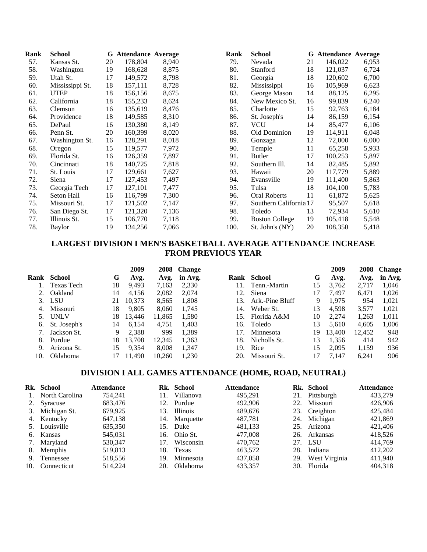| Rank | <b>School</b>   | G  | <b>Attendance Average</b> |       | Rank | <b>School</b>          |    | <b>G</b> Attendance Average |       |
|------|-----------------|----|---------------------------|-------|------|------------------------|----|-----------------------------|-------|
| 57.  | Kansas St.      | 20 | 178,804                   | 8,940 | 79.  | Nevada                 | 21 | 146,022                     | 6,953 |
| 58.  | Washington      | 19 | 168,628                   | 8,875 | 80.  | Stanford               | 18 | 121,037                     | 6,724 |
| 59.  | Utah St.        | 17 | 149,572                   | 8,798 | 81.  | Georgia                | 18 | 120,602                     | 6,700 |
| 60.  | Mississippi St. | 18 | 157,111                   | 8,728 | 82.  | Mississippi            | 16 | 105,969                     | 6,623 |
| 61.  | <b>UTEP</b>     | 18 | 156,156                   | 8,675 | 83.  | George Mason           | 14 | 88,125                      | 6,295 |
| 62.  | California      | 18 | 155,233                   | 8,624 | 84.  | New Mexico St.         | 16 | 99,839                      | 6,240 |
| 63.  | Clemson         | 16 | 135,619                   | 8,476 | 85.  | Charlotte              | 15 | 92,763                      | 6,184 |
| 64.  | Providence      | 18 | 149,585                   | 8,310 | 86.  | St. Joseph's           | 14 | 86,159                      | 6,154 |
| 65.  | DePaul          | 16 | 130,380                   | 8,149 | 87.  | <b>VCU</b>             | 14 | 85,477                      | 6,106 |
| 66.  | Penn St.        | 20 | 160,399                   | 8,020 | 88.  | Old Dominion           | 19 | 114,911                     | 6,048 |
| 67.  | Washington St.  | 16 | 128,291                   | 8,018 | 89.  | Gonzaga                | 12 | 72,000                      | 6,000 |
| 68.  | Oregon          | 15 | 119,577                   | 7,972 | 90.  | Temple                 | 11 | 65,258                      | 5,933 |
| 69.  | Florida St.     | 16 | 126,359                   | 7,897 | 91.  | <b>Butler</b>          | 17 | 100,253                     | 5,897 |
| 70.  | Cincinnati      | 18 | 140,725                   | 7,818 | 92.  | Southern Ill.          | 14 | 82,485                      | 5,892 |
| 71.  | St. Louis       | 17 | 129,661                   | 7,627 | 93.  | Hawaii                 | 20 | 117,779                     | 5,889 |
| 72.  | Siena           | 17 | 127,453                   | 7,497 | 94.  | Evansville             | 19 | 111,400                     | 5,863 |
| 73.  | Georgia Tech    | 17 | 127,101                   | 7,477 | 95.  | Tulsa                  | 18 | 104,100                     | 5,783 |
| 74.  | Seton Hall      | 16 | 116,799                   | 7,300 | 96.  | <b>Oral Roberts</b>    | 11 | 61,872                      | 5,625 |
| 75.  | Missouri St.    | 17 | 121,502                   | 7,147 | 97.  | Southern California 17 |    | 95,507                      | 5,618 |
| 76.  | San Diego St.   | 17 | 121,320                   | 7,136 | 98.  | Toledo                 | 13 | 72,934                      | 5,610 |
| 77.  | Illinois St.    | 15 | 106,770                   | 7,118 | 99.  | <b>Boston College</b>  | 19 | 105,418                     | 5,548 |
| 78.  | Baylor          | 19 | 134,256                   | 7,066 | 100. | St. John's (NY)        | 20 | 108,350                     | 5,418 |

### **LARGEST DIVISION I MEN'S BASKETBALL AVERAGE ATTENDANCE INCREASE FROM PREVIOUS YEAR**

|      |                 |    | 2009   |        | 2008 Change |     |                 |    | 2009   | 2008   | <b>Change</b> |
|------|-----------------|----|--------|--------|-------------|-----|-----------------|----|--------|--------|---------------|
| Rank | School          | G  | Avg.   | Avg.   | in Avg.     |     | Rank School     | G  | Avg.   | Avg.   | in Avg.       |
|      | Texas Tech      | 18 | 9,493  | 7.163  | 2,330       | 11. | Tenn.-Martin    | 15 | 3,762  | 2.717  | 1,046         |
|      | Oakland         | 14 | 4,156  | 2,082  | 2.074       | 12. | Siena           | 17 | 7.497  | 6.471  | 1,026         |
|      | 3. LSU          | 21 | 10.373 | 8,565  | 1.808       | 13. | Ark.-Pine Bluff | 9  | 1.975  | 954    | 1.021         |
| 4.   | Missouri        | 18 | 9,805  | 8.060  | 1.745       | 14. | Weber St.       | 13 | 4,598  | 3,577  | 1.021         |
|      | 5. UNLV         | 18 | 13.446 | 11.865 | 1.580       | 15. | Florida A&M     | 10 | 2.274  | 1.263  | 1.011         |
| 6.   | St. Joseph's    | 14 | 6.154  | 4.751  | 1.403       | 16. | Toledo          | 13 | 5.610  | 4.605  | 1,006         |
|      | Jackson St.     | 9  | 2.388  | 999    | 1.389       | 17. | Minnesota       | 19 | 13,400 | 12.452 | 948           |
| 8.   | Purdue          | 18 | 13.708 | 12.345 | 1.363       | 18. | Nicholls St.    | 13 | 1.356  | 414    | 942           |
| 9.   | Arizona St.     | 15 | 9,354  | 8.008  | 1.347       | 19. | Rice            | 15 | 2.095  | 1.159  | 936           |
| 10.  | <b>Oklahoma</b> |    | 11.490 | 10.260 | 1.230       | 20. | Missouri St.    |    | 7.147  | 6.241  | 906           |
|      |                 |    |        |        |             |     |                 |    |        |        |               |

## **DIVISION I ALL GAMES ATTENDANCE (HOME, ROAD, NEUTRAL)**

| Rk. School        | <b>Attendance</b> |     | Rk. School    | <b>Attendance</b> |     | Rk. School        | <b>Attendance</b> |
|-------------------|-------------------|-----|---------------|-------------------|-----|-------------------|-------------------|
| 1. North Carolina | 754.241           | 11. | Villanova     | 495.291           |     | 21. Pittsburgh    | 433,279           |
| 2. Syracuse       | 683,476           | 12. | Purdue        | 492,906           |     | 22. Missouri      | 426,906           |
| 3. Michigan St.   | 679.925           | 13. | Illinois      | 489.676           |     | 23. Creighton     | 425,484           |
| 4. Kentucky       | 647,138           |     | 14. Marquette | 487.781           |     | 24. Michigan      | 421,869           |
| 5. Louisville     | 635.350           |     | 15. Duke      | 481.133           |     | 25. Arizona       | 421,406           |
| 6. Kansas         | 545.031           |     | 16. Ohio St.  | 477,008           |     | 26. Arkansas      | 418,526           |
| 7. Maryland       | 530.347           | 17. | Wisconsin     | 470.762           |     | 27. LSU           | 414,769           |
| 8. Memphis        | 519,813           |     | 18. Texas     | 463.572           | 28. | Indiana           | 412,202           |
| 9. Tennessee      | 518.556           | 19. | Minnesota     | 437,058           |     | 29. West Virginia | 411,940           |
| 10. Connecticut   | 514.224           | 20. | Oklahoma      | 433.357           |     | 30. Florida       | 404.318           |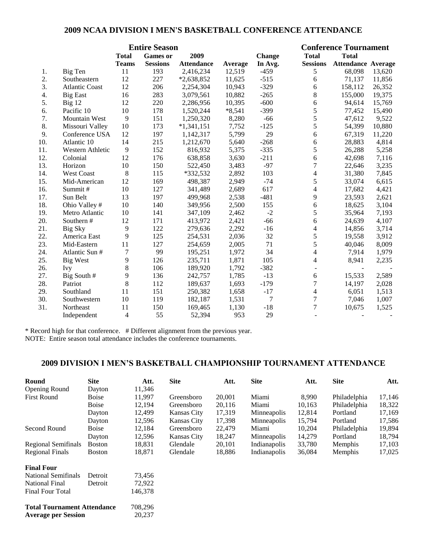#### **2009 NCAA DIVISION I MEN'S BASKETBALL CONFERENCE ATTENDANCE**

|     |                       |                | <b>Entire Season</b> |                   |          |               |                          | <b>Conference Tournament</b> |        |
|-----|-----------------------|----------------|----------------------|-------------------|----------|---------------|--------------------------|------------------------------|--------|
|     |                       | <b>Total</b>   | <b>Games</b> or      | 2009              |          | <b>Change</b> | <b>Total</b>             | <b>Total</b>                 |        |
|     |                       | <b>Teams</b>   | <b>Sessions</b>      | <b>Attendance</b> | Average  | In Avg.       | <b>Sessions</b>          | <b>Attendance Average</b>    |        |
| 1.  | Big Ten               | 11             | 193                  | 2,416,234         | 12,519   | $-459$        | 5                        | 68,098                       | 13,620 |
| 2.  | Southeastern          | 12             | 227                  | *2,638,852        | 11,625   | $-515$        | $\sqrt{6}$               | 71,137                       | 11,856 |
| 3.  | <b>Atlantic Coast</b> | 12             | 206                  | 2,254,304         | 10,943   | $-329$        | $\sqrt{6}$               | 158,112                      | 26,352 |
| 4.  | <b>Big East</b>       | 16             | 283                  | 3,079,561         | 10,882   | $-265$        | $\,8\,$                  | 155,000                      | 19,375 |
| 5.  | Big 12                | 12             | 220                  | 2,286,956         | 10,395   | $-600$        | 6                        | 94,614                       | 15,769 |
| 6.  | Pacific 10            | 10             | 178                  | 1,520,244         | $*8,541$ | $-399$        | $\sqrt{5}$               | 77,452                       | 15,490 |
| 7.  | Mountain West         | 9              | 151                  | 1,250,320         | 8,280    | $-66$         | 5                        | 47,612                       | 9,522  |
| 8.  | Missouri Valley       | 10             | 173                  | $*1,341,151$      | 7,752    | $-125$        | 5                        | 54,399                       | 10,880 |
| 9.  | Conference USA        | 12             | 197                  | 1,142,317         | 5,799    | 29            | 6                        | 67,319                       | 11,220 |
| 10. | Atlantic 10           | 14             | 215                  | 1,212,670         | 5,640    | $-268$        | $\sqrt{6}$               | 28,883                       | 4,814  |
| 11. | Western Athletic      | 9              | 152                  | 816,932           | 5,375    | $-335$        | 5                        | 26,288                       | 5,258  |
| 12. | Colonial              | 12             | 176                  | 638,858           | 3,630    | $-211$        | 6                        | 42,698                       | 7,116  |
| 13. | Horizon               | 10             | 150                  | 522,450           | 3,483    | $-97$         | $\overline{7}$           | 22,646                       | 3,235  |
| 14. | West Coast            | 8              | 115                  | $*332,532$        | 2,892    | 103           | $\overline{4}$           | 31,380                       | 7,845  |
| 15. | Mid-American          | 12             | 169                  | 498,387           | 2,949    | $-74$         | 5                        | 33,074                       | 6,615  |
| 16. | Summit#               | 10             | 127                  | 341,489           | 2,689    | 617           | $\overline{\mathcal{A}}$ | 17,682                       | 4,421  |
| 17. | Sun Belt              | 13             | 197                  | 499,968           | 2,538    | $-481$        | 9                        | 23,593                       | 2,621  |
| 18. | Ohio Valley #         | 10             | 140                  | 349,956           | 2,500    | 155           | 6                        | 18,625                       | 3,104  |
| 19. | Metro Atlantic        | 10             | 141                  | 347,109           | 2,462    | $-2$          | 5                        | 35,964                       | 7,193  |
| 20. | Southern #            | 12             | 171                  | 413,972           | 2,421    | $-66$         | 6                        | 24,639                       | 4,107  |
| 21. | Big Sky               | 9              | 122                  | 279,636           | 2,292    | $-16$         | $\overline{4}$           | 14,856                       | 3,714  |
| 22. | America East          | 9              | 125                  | 254,531           | 2,036    | 32            | $\sqrt{5}$               | 19,558                       | 3,912  |
| 23. | Mid-Eastern           | 11             | 127                  | 254,659           | 2,005    | 71            | 5                        | 40,046                       | 8,009  |
| 24. | Atlantic Sun #        | $\overline{7}$ | 99                   | 195,251           | 1,972    | 34            | 4                        | 7,914                        | 1,979  |
| 25. | <b>Big West</b>       | 9              | 126                  | 235,711           | 1,871    | 105           | 4                        | 8,941                        | 2,235  |
| 26. | Ivy                   | $8\,$          | 106                  | 189,920           | 1,792    | $-382$        |                          |                              |        |
| 27. | Big South #           | 9              | 136                  | 242,757           | 1,785    | $-13$         | 6                        | 15,533                       | 2,589  |
| 28. | Patriot               | 8              | 112                  | 189,637           | 1,693    | $-179$        | 7                        | 14,197                       | 2,028  |
| 29. | Southland             | 11             | 151                  | 250,382           | 1,658    | $-17$         | 4                        | 6,051                        | 1,513  |
| 30. | Southwestern          | 10             | 119                  | 182,187           | 1,531    | 7             | $\tau$                   | 7,046                        | 1,007  |
| 31. | Northeast             | 11             | 150                  | 169,465           | 1,130    | $-18$         | $\overline{7}$           | 10,675                       | 1,525  |
|     | Independent           | 4              | 55                   | 52,394            | 953      | 29            |                          |                              |        |

\* Record high for that conference. # Different alignment from the previous year.

NOTE: Entire season total attendance includes the conference tournaments.

### **2009 DIVISION I MEN'S BASKETBALL CHAMPIONSHIP TOURNAMENT ATTENDANCE**

| Round                              | <b>Site</b>   | Att.    | <b>Site</b>        | Att.   | <b>Site</b>  | Att.   | <b>Site</b>  | Att.   |
|------------------------------------|---------------|---------|--------------------|--------|--------------|--------|--------------|--------|
| Opening Round                      | Dayton        | 11,346  |                    |        |              |        |              |        |
| <b>First Round</b>                 | <b>Boise</b>  | 11,997  | Greensboro         | 20,001 | Miami        | 8,990  | Philadelphia | 17,146 |
|                                    | <b>Boise</b>  | 12,194  | Greensboro         | 20,116 | Miami        | 10,163 | Philadelphia | 18,322 |
|                                    | Dayton        | 12,499  | <b>Kansas City</b> | 17,319 | Minneapolis  | 12,814 | Portland     | 17,169 |
|                                    | Dayton        | 12,596  | <b>Kansas City</b> | 17,398 | Minneapolis  | 15,794 | Portland     | 17,586 |
| Second Round                       | <b>Boise</b>  | 12,184  | Greensboro         | 22,479 | Miami        | 10,204 | Philadelphia | 19,894 |
|                                    | Dayton        | 12,596  | Kansas City        | 18,247 | Minneapolis  | 14,279 | Portland     | 18,794 |
| Regional Semifinals                | <b>Boston</b> | 18,831  | Glendale           | 20,101 | Indianapolis | 33,780 | Memphis      | 17,103 |
| <b>Regional Finals</b>             | <b>Boston</b> | 18,871  | Glendale           | 18,886 | Indianapolis | 36,084 | Memphis      | 17,025 |
| <b>Final Four</b>                  |               |         |                    |        |              |        |              |        |
| <b>National Semifinals</b>         | Detroit       | 73,456  |                    |        |              |        |              |        |
| <b>National Final</b>              | Detroit       | 72,922  |                    |        |              |        |              |        |
| Final Four Total                   |               | 146,378 |                    |        |              |        |              |        |
| <b>Total Tournament Attendance</b> |               | 708,296 |                    |        |              |        |              |        |
| <b>Average per Session</b>         |               | 20,237  |                    |        |              |        |              |        |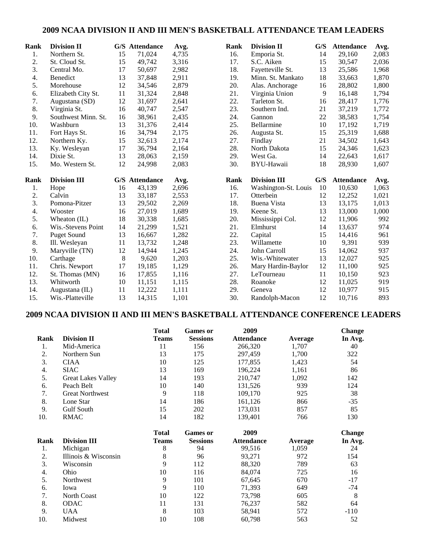#### **2009 NCAA DIVISION II AND III MEN'S BASKETBALL ATTENDANCE TEAM LEADERS**

| Rank | <b>Division II</b>                |    | G/S Attendance           | Avg.           | Rank | <b>Division II</b>                | G/S | <b>Attendance</b>           | Avg.          |
|------|-----------------------------------|----|--------------------------|----------------|------|-----------------------------------|-----|-----------------------------|---------------|
| 1.   | Northern St.                      | 15 | 71,024                   | 4,735          | 16.  | Emporia St.                       | 14  | 29,160                      | 2,083         |
| 2.   | St. Cloud St.                     | 15 | 49,742                   | 3,316          | 17.  | S.C. Aiken                        | 15  | 30,547                      | 2,036         |
| 3.   | Central Mo.                       | 17 | 50,697                   | 2,982          | 18.  | Fayetteville St.                  | 13  | 25,586                      | 1,968         |
| 4.   | Benedict                          | 13 | 37,848                   | 2,911          | 19.  | Minn. St. Mankato                 | 18  | 33,663                      | 1,870         |
| 5.   | Morehouse                         | 12 | 34,546                   | 2,879          | 20.  | Alas. Anchorage                   | 16  | 28,802                      | 1,800         |
| 6.   | Elizabeth City St.                | 11 | 31,324                   | 2,848          | 21.  | Virginia Union                    | 9   | 16,148                      | 1,794         |
| 7.   | Augustana (SD)                    | 12 | 31,697                   | 2,641          | 22.  | Tarleton St.                      | 16  | 28,417                      | 1,776         |
| 8.   | Virginia St.                      | 16 | 40,747                   | 2,547          | 23.  | Southern Ind.                     | 21  | 37,219                      | 1,772         |
| 9.   | Southwest Minn. St.               | 16 | 38,961                   | 2,435          | 24.  | Gannon                            | 22  | 38,583                      | 1,754         |
| 10.  | Washburn                          | 13 | 31,376                   | 2,414          | 25.  | Bellarmine                        | 10  | 17,192                      | 1,719         |
| 11.  | Fort Hays St.                     | 16 | 34,794                   | 2,175          | 26.  | Augusta St.                       | 15  | 25,319                      | 1,688         |
| 12.  | Northern Ky.                      | 15 | 32,613                   | 2,174          | 27.  | Findlay                           | 21  | 34,502                      | 1,643         |
| 13.  | Ky. Wesleyan                      | 17 | 36,794                   | 2,164          | 28.  | North Dakota                      | 15  | 24,346                      | 1,623         |
| 14.  | Dixie St.                         | 13 | 28,063                   | 2,159          | 29.  | West Ga.                          | 14  | 22,643                      | 1,617         |
| 15.  | Mo. Western St.                   | 12 | 24,998                   | 2,083          | 30.  | BYU-Hawaii                        | 18  | 28,930                      | 1,607         |
|      |                                   |    |                          |                |      |                                   |     |                             |               |
| Rank | <b>Division III</b>               |    |                          |                | Rank | <b>Division III</b>               | G/S |                             |               |
| 1.   |                                   | 16 | G/S Attendance<br>43,139 | Avg.<br>2,696  | 16.  |                                   | 10  | <b>Attendance</b><br>10,630 | Avg.<br>1,063 |
| 2.   | Hope<br>Calvin                    | 13 | 33,187                   |                | 17.  | Washington-St. Louis<br>Otterbein | 12  | 12,252                      | 1,021         |
| 3.   | Pomona-Pitzer                     | 13 | 29,502                   | 2,553<br>2,269 | 18.  | Buena Vista                       | 13  | 13,175                      | 1,013         |
| 4.   | Wooster                           | 16 | 27,019                   | 1,689          | 19.  |                                   | 13  | 13,000                      | 1,000         |
| 5.   | Wheaton (IL)                      | 18 | 30,338                   | 1,685          | 20.  | Keene St.<br>Mississippi Col.     | 12  | 11,906                      | 992           |
| 6.   | Wis.-Stevens Point                | 14 | 21,299                   | 1,521          | 21.  | Elmhurst                          | 14  | 13,637                      | 974           |
| 7.   | <b>Puget Sound</b>                | 13 | 16,667                   | 1,282          | 22.  | Capital                           | 15  | 14,416                      | 961           |
| 8.   | Ill. Wesleyan                     | 11 | 13,732                   | 1,248          | 23.  | Willamette                        | 10  | 9,391                       | 939           |
| 9.   | Maryville (TN)                    | 12 | 14,944                   | 1,245          | 24.  | John Carroll                      | 15  | 14,062                      | 937           |
| 10.  | Carthage                          | 8  | 9,620                    | 1,203          | 25.  | Wis.-Whitewater                   | 13  | 12.027                      | 925           |
| 11.  |                                   | 17 | 19,185                   | 1,129          | 26.  | Mary Hardin-Baylor                | 12  | 11,100                      | 925           |
| 12.  | Chris. Newport<br>St. Thomas (MN) | 16 | 17,855                   | 1,116          | 27.  | LeTourneau                        | 11  | 10,150                      | 923           |
| 13.  | Whitworth                         | 10 | 11,151                   | 1,115          | 28.  | Roanoke                           | 12  | 11,025                      | 919           |
| 14.  | Augustana (IL)                    | 11 | 12,222                   | 1,111          | 29.  | Geneva                            | 12  | 10,977                      | 915           |

# **2009 NCAA DIVISION II AND III MEN'S BASKETBALL ATTENDANCE CONFERENCE LEADERS**

|      |                           | <b>Total</b> | <b>Games or</b> | 2009              |         | <b>Change</b> |
|------|---------------------------|--------------|-----------------|-------------------|---------|---------------|
| Rank | <b>Division II</b>        | <b>Teams</b> | <b>Sessions</b> | <b>Attendance</b> | Average | In Avg.       |
| 1.   | Mid-America               | 11           | 156             | 266,320           | 1,707   | 40            |
| 2.   | Northern Sun              | 13           | 175             | 297,459           | 1,700   | 322           |
| 3.   | <b>CIAA</b>               | 10           | 125             | 177,855           | 1,423   | 54            |
| 4.   | <b>SIAC</b>               | 13           | 169             | 196,224           | 1,161   | 86            |
| 5.   | <b>Great Lakes Valley</b> | 14           | 193             | 210,747           | 1,092   | 142           |
| 6.   | Peach Belt                | 10           | 140             | 131,526           | 939     | 124           |
| 7.   | <b>Great Northwest</b>    | 9            | 118             | 109,170           | 925     | 38            |
| 8.   | Lone Star                 | 14           | 186             | 161,126           | 866     | $-35$         |
| 9.   | <b>Gulf South</b>         | 15           | 202             | 173,031           | 857     | 85            |
| 10.  | <b>RMAC</b>               | 14           | 182             | 139,401           | 766     | 130           |
|      |                           | <b>Total</b> | <b>Games or</b> | 2009              |         | <b>Change</b> |
| Rank | <b>Division III</b>       | <b>Teams</b> | <b>Sessions</b> | <b>Attendance</b> | Average | In Avg.       |
| 1.   | Michigan                  | 8            | 94              | 99,516            | 1,059   | 24            |
| 2.   | Illinois & Wisconsin      | 8            | 96              | 93,271            | 972     | 154           |
| 3.   | Wisconsin                 | 9            | 112             | 88,320            | 789     | 63            |
| 4.   | Ohio                      | 10           | 116             | 84,074            | 725     | 16            |
| 5.   | Northwest                 | 9            | 101             | 67,645            | 670     | $-17$         |
| 6.   | Iowa                      | 9            | 110             | 71,393            | 649     | $-74$         |
| 7.   | North Coast               | 10           | 122             | 73,798            | 605     | 8             |
| 8.   | <b>ODAC</b>               | 11           | 131             | 76,237            | 582     | 64            |
| 9.   | <b>UAA</b>                | 8            | 103             | 58,941            | 572     | $-110$        |
| 10.  | Midwest                   | 10           | 108             | 60,798            | 563     | 52            |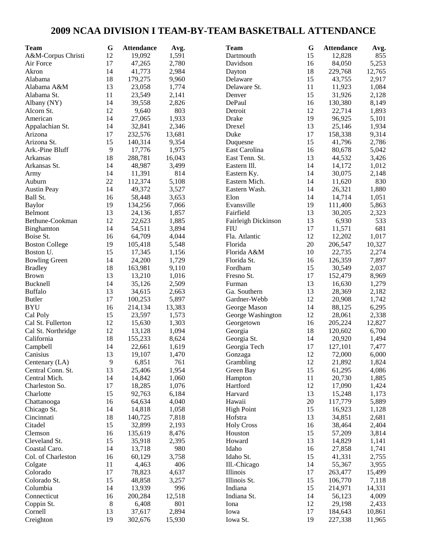# **2009 NCAA DIVISION I TEAM-BY-TEAM BASKETBALL ATTENDANCE**

| Team                  | $\bf G$ | <b>Attendance</b> | Avg.   | <b>Team</b>                       | G      | <b>Attendance</b> | Avg.   |
|-----------------------|---------|-------------------|--------|-----------------------------------|--------|-------------------|--------|
| A&M-Corpus Christi    | 12      | 19,092            | 1,591  | Dartmouth                         | 15     | 12,828            | 855    |
| Air Force             | 17      | 47,265            | 2,780  | Davidson                          | 16     | 84,050            | 5,253  |
| Akron                 | 14      | 41,773            | 2,984  | Dayton                            | 18     | 229,768           | 12,765 |
| Alabama               | 18      | 179,275           | 9,960  | Delaware                          | 15     | 43,755            | 2,917  |
| Alabama A&M           | 13      | 23,058            | 1,774  | Delaware St.                      | 11     | 11,923            | 1,084  |
| Alabama St.           | 11      | 23,549            | 2,141  | Denver                            | 15     | 31,926            | 2,128  |
| Albany (NY)           | 14      | 39,558            | 2,826  | DePaul                            | 16     | 130,380           | 8,149  |
| Alcorn St.            | 12      | 9,640             | 803    | Detroit                           | 12     | 22,714            | 1,893  |
| American              | 14      | 27,065            | 1,933  | Drake                             | 19     | 96,925            | 5,101  |
| Appalachian St.       | 14      | 32,841            | 2,346  | Drexel                            | 13     | 25,146            | 1,934  |
| Arizona               | 17      | 232,576           | 13,681 | Duke                              | 17     | 158,338           | 9,314  |
| Arizona St.           | 15      | 140,314           | 9,354  | Duquesne                          | 15     | 41,796            | 2,786  |
| Ark.-Pine Bluff       | 9       | 17,776            | 1,975  | East Carolina                     | 16     | 80,678            | 5,042  |
| Arkansas              | 18      | 288,781           | 16,043 | East Tenn. St.                    | 13     | 44,532            | 3,426  |
| Arkansas St.          | 14      | 48,987            | 3,499  | Eastern Ill.                      | 14     | 14,172            | 1,012  |
| Army                  | 14      | 11,391            | 814    | Eastern Ky.                       | 14     | 30,075            | 2,148  |
| Auburn                | 22      | 112,374           | 5,108  | Eastern Mich.                     | 14     | 11,620            | 830    |
| <b>Austin Peay</b>    | 14      | 49,372            | 3,527  | Eastern Wash.                     | 14     | 26,321            | 1,880  |
| Ball St.              | 16      | 58,448            | 3,653  | Elon                              | 14     | 14,714            | 1,051  |
| <b>Baylor</b>         | 19      | 134,256           | 7,066  | Evansville                        | 19     | 111,400           | 5,863  |
| Belmont               | 13      | 24,136            | 1,857  | Fairfield                         | 13     | 30,205            | 2,323  |
|                       | 12      | 22,623            |        |                                   | 13     |                   | 533    |
| Bethune-Cookman       | 14      |                   | 1,885  | Fairleigh Dickinson<br><b>FIU</b> | 17     | 6,930             |        |
| Binghamton            |         | 54,511            | 3,894  |                                   | 12     | 11,571            | 681    |
| Boise St.             | 16      | 64,709            | 4,044  | Fla. Atlantic                     | 20     | 12,202            | 1,017  |
| <b>Boston College</b> | 19      | 105,418           | 5,548  | Florida                           |        | 206,547           | 10,327 |
| Boston U.             | 15      | 17,345            | 1,156  | Florida A&M                       | 10     | 22,735            | 2,274  |
| <b>Bowling Green</b>  | 14      | 24,200            | 1,729  | Florida St.                       | 16     | 126,359           | 7,897  |
| <b>Bradley</b>        | 18      | 163,981           | 9,110  | Fordham                           | 15     | 30,549            | 2,037  |
| <b>Brown</b>          | 13      | 13,210            | 1,016  | Fresno St.                        | 17     | 152,479           | 8,969  |
| Bucknell              | 14      | 35,126            | 2,509  | Furman                            | 13     | 16,630            | 1,279  |
| <b>Buffalo</b>        | 13      | 34,615            | 2,663  | Ga. Southern                      | 13     | 28,369            | 2,182  |
| <b>Butler</b>         | 17      | 100,253           | 5,897  | Gardner-Webb                      | 12     | 20,908            | 1,742  |
| <b>BYU</b>            | 16      | 214,134           | 13,383 | George Mason                      | 14     | 88,125            | 6,295  |
| Cal Poly              | 15      | 23,597            | 1,573  | George Washington                 | 12     | 28,061            | 2,338  |
| Cal St. Fullerton     | 12      | 15,630            | 1,303  | Georgetown                        | 16     | 205,224           | 12,827 |
| Cal St. Northridge    | 12      | 13,128            | 1,094  | Georgia                           | 18     | 120,602           | 6,700  |
| California            | 18      | 155,233           | 8,624  | Georgia St.                       | 14     | 20,920            | 1,494  |
| Campbell              | 14      | 22,661            | 1,619  | Georgia Tech                      | 17     | 127,101           | 7,477  |
| Canisius              | 13      | 19,107            | 1,470  | Gonzaga                           | 12     | 72,000            | 6,000  |
| Centenary (LA)        | 9       | 6,851             | 761    | Grambling                         | 12     | 21,892            | 1,824  |
| Central Conn. St.     | 13      | 25,406            | 1,954  | Green Bay                         | 15     | 61,295            | 4,086  |
| Central Mich.         | 14      | 14,842            | 1,060  | Hampton                           | 11     | 20,730            | 1,885  |
| Charleston So.        | 17      | 18,285            | 1,076  | Hartford                          | 12     | 17,090            | 1,424  |
| Charlotte             | 15      | 92,763            | 6,184  | Harvard                           | 13     | 15,248            | 1,173  |
| Chattanooga           | 16      | 64,634            | 4,040  | Hawaii                            | $20\,$ | 117,779           | 5,889  |
| Chicago St.           | 14      | 14,818            | 1,058  | <b>High Point</b>                 | 15     | 16,923            | 1,128  |
| Cincinnati            | 18      | 140,725           | 7,818  | Hofstra                           | 13     | 34,851            | 2,681  |
| Citadel               | 15      | 32,899            | 2,193  | <b>Holy Cross</b>                 | 16     | 38,464            | 2,404  |
| Clemson               | 16      | 135,619           | 8,476  | Houston                           | 15     | 57,209            | 3,814  |
| Cleveland St.         | 15      | 35,918            | 2,395  | Howard                            | 13     | 14,829            | 1,141  |
| Coastal Caro.         | 14      | 13,718            | 980    | Idaho                             | 16     | 27,858            | 1,741  |
| Col. of Charleston    | 16      | 60,129            | 3,758  | Idaho St.                         | 15     | 41,331            | 2,755  |
| Colgate               | 11      | 4,463             | 406    | Ill.-Chicago                      | 14     | 55,367            | 3,955  |
| Colorado              | 17      | 78,823            | 4,637  | Illinois                          | 17     | 263,477           | 15,499 |
| Colorado St.          | 15      | 48,858            | 3,257  | Illinois St.                      | 15     | 106,770           | 7,118  |
| Columbia              | 14      | 13,939            | 996    | Indiana                           | 15     | 214,971           | 14,331 |
| Connecticut           | 16      | 200,284           | 12,518 | Indiana St.                       | 14     | 56,123            | 4,009  |
| Coppin St.            | 8       | 6,408             | 801    | Iona                              | 12     | 29,198            | 2,433  |
| Cornell               | 13      | 37,617            | 2,894  | Iowa                              | 17     | 184,643           | 10,861 |
| Creighton             | 19      | 302,676           | 15,930 | Iowa St.                          | 19     | 227,338           | 11,965 |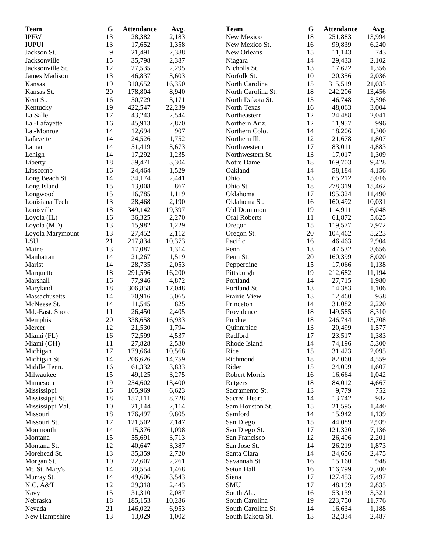| <b>Team</b>      | G        | <b>Attendance</b> | Avg.   | <b>Team</b>          | G  | <b>Attendance</b> | Avg.   |
|------------------|----------|-------------------|--------|----------------------|----|-------------------|--------|
| <b>IPFW</b>      | 13       | 28,382            | 2,183  | New Mexico           | 18 | 251,883           | 13,994 |
| <b>IUPUI</b>     | 13       | 17,652            | 1,358  | New Mexico St.       | 16 | 99,839            | 6,240  |
| Jackson St.      | 9        | 21,491            | 2,388  | New Orleans          | 15 | 11,143            | 743    |
| Jacksonville     | 15       | 35,798            | 2,387  | Niagara              | 14 | 29,433            | 2,102  |
| Jacksonville St. | 12       | 27,535            | 2,295  | Nicholls St.         | 13 | 17,622            | 1,356  |
| James Madison    | 13       | 46,837            | 3,603  | Norfolk St.          | 10 | 20,356            | 2,036  |
| Kansas           | 19       | 310,652           | 16,350 | North Carolina       | 15 | 315,519           | 21,035 |
| Kansas St.       | 20       | 178,804           | 8,940  | North Carolina St.   | 18 | 242,206           | 13,456 |
| Kent St.         | 16       | 50,729            | 3,171  | North Dakota St.     | 13 | 46,748            | 3,596  |
|                  | 19       | 422,547           | 22,239 | North Texas          | 16 | 48,063            | 3,004  |
| Kentucky         | 17       |                   | 2,544  |                      | 12 |                   |        |
| La Salle         |          | 43,243            |        | Northeastern         |    | 24,488            | 2,041  |
| La.-Lafayette    | 16       | 45,913            | 2,870  | Northern Ariz.       | 12 | 11,957            | 996    |
| La.-Monroe       | 14       | 12,694            | 907    | Northern Colo.       | 14 | 18,206            | 1,300  |
| Lafayette        | 14       | 24,526            | 1,752  | Northern Ill.        | 12 | 21,678            | 1,807  |
| Lamar            | 14       | 51,419            | 3,673  | Northwestern         | 17 | 83,011            | 4,883  |
| Lehigh           | 14       | 17,292            | 1,235  | Northwestern St.     | 13 | 17,017            | 1,309  |
| Liberty          | 18       | 59,471            | 3,304  | Notre Dame           | 18 | 169,703           | 9,428  |
| Lipscomb         | 16       | 24,464            | 1,529  | Oakland              | 14 | 58,184            | 4,156  |
| Long Beach St.   | 14       | 34,174            | 2,441  | Ohio                 | 13 | 65,212            | 5,016  |
| Long Island      | 15       | 13,008            | 867    | Ohio St.             | 18 | 278,319           | 15,462 |
| Longwood         | 15       | 16,785            | 1,119  | Oklahoma             | 17 | 195,324           | 11,490 |
| Louisiana Tech   | 13       | 28,468            | 2,190  | Oklahoma St.         | 16 | 160,492           | 10,031 |
| Louisville       | 18       | 349,142           | 19,397 | Old Dominion         | 19 | 114,911           | 6,048  |
| Loyola (IL)      | 16       | 36,325            | 2,270  | <b>Oral Roberts</b>  | 11 | 61,872            | 5,625  |
| Loyola (MD)      | 13       | 15,982            | 1,229  | Oregon               | 15 | 119,577           | 7,972  |
| Loyola Marymount | 13       | 27,452            | 2,112  | Oregon St.           | 20 | 104,462           | 5,223  |
| LSU              | 21       | 217,834           | 10,373 | Pacific              | 16 | 46,463            | 2,904  |
| Maine            | 13       | 17,087            | 1,314  | Penn                 | 13 | 47,532            | 3,656  |
| Manhattan        | 14       | 21,267            | 1,519  | Penn St.             | 20 | 160,399           | 8,020  |
| Marist           | 14       | 28,735            | 2,053  | Pepperdine           | 15 | 17,066            | 1,138  |
|                  | 18       | 291,596           | 16,200 |                      | 19 | 212,682           | 11,194 |
| Marquette        |          | 77,946            |        | Pittsburgh           | 14 |                   |        |
| Marshall         | 16<br>18 |                   | 4,872  | Portland             |    | 27,715            | 1,980  |
| Maryland         |          | 306,858           | 17,048 | Portland St.         | 13 | 14,383            | 1,106  |
| Massachusetts    | 14       | 70,916            | 5,065  | Prairie View         | 13 | 12,460            | 958    |
| McNeese St.      | 14       | 11,545            | 825    | Princeton            | 14 | 31,082            | 2,220  |
| Md.-East. Shore  | 11       | 26,450            | 2,405  | Providence           | 18 | 149,585           | 8,310  |
| Memphis          | 20       | 338,658           | 16,933 | Purdue               | 18 | 246,744           | 13,708 |
| Mercer           | 12       | 21,530            | 1,794  | Quinnipiac           | 13 | 20,499            | 1,577  |
| Miami (FL)       | 16       | 72,599            | 4,537  | Radford              | 17 | 23,517            | 1,383  |
| Miami (OH)       | 11       | 27,828            | 2,530  | Rhode Island         | 14 | 74,196            | 5,300  |
| Michigan         | 17       | 179,664           | 10,568 | Rice                 | 15 | 31,423            | 2,095  |
| Michigan St.     | 14       | 206,626           | 14,759 | Richmond             | 18 | 82,060            | 4,559  |
| Middle Tenn.     | 16       | 61,332            | 3,833  | Rider                | 15 | 24,099            | 1,607  |
| Milwaukee        | 15       | 49,125            | 3,275  | <b>Robert Morris</b> | 16 | 16,664            | 1,042  |
| Minnesota        | 19       | 254,602           | 13,400 | Rutgers              | 18 | 84,012            | 4,667  |
| Mississippi      | 16       | 105,969           | 6,623  | Sacramento St.       | 13 | 9,779             | 752    |
| Mississippi St.  | 18       | 157,111           | 8,728  | Sacred Heart         | 14 | 13,742            | 982    |
| Mississippi Val. | 10       | 21,144            | 2,114  | Sam Houston St.      | 15 | 21,595            | 1,440  |
| Missouri         | 18       | 176,497           | 9,805  | Samford              | 14 | 15,942            | 1,139  |
| Missouri St.     | 17       | 121,502           | 7,147  | San Diego            | 15 | 44,089            | 2,939  |
| Monmouth         | 14       | 15,376            | 1,098  | San Diego St.        | 17 | 121,320           | 7,136  |
| Montana          | 15       | 55,691            | 3,713  | San Francisco        | 12 | 26,406            | 2,201  |
| Montana St.      | 12       | 40,647            | 3,387  | San Jose St.         | 14 | 26,219            | 1,873  |
| Morehead St.     | 13       | 35,359            | 2,720  | Santa Clara          | 14 | 34,656            | 2,475  |
| Morgan St.       | 10       | 22,607            | 2,261  | Savannah St.         | 16 | 15,160            | 948    |
|                  | 14       | 20,554            | 1,468  | Seton Hall           |    | 116,799           | 7,300  |
| Mt. St. Mary's   |          |                   |        |                      | 16 |                   |        |
| Murray St.       | 14       | 49,606            | 3,543  | Siena                | 17 | 127,453           | 7,497  |
| N.C. A&T         | 12       | 29,318            | 2,443  | <b>SMU</b>           | 17 | 48,199            | 2,835  |
| Navy             | 15       | 31,310            | 2,087  | South Ala.           | 16 | 53,139            | 3,321  |
| Nebraska         | 18       | 185,153           | 10,286 | South Carolina       | 19 | 223,750           | 11,776 |
| Nevada           | 21       | 146,022           | 6,953  | South Carolina St.   | 14 | 16,634            | 1,188  |
| New Hampshire    | 13       | 13,029            | 1,002  | South Dakota St.     | 13 | 32,334            | 2,487  |